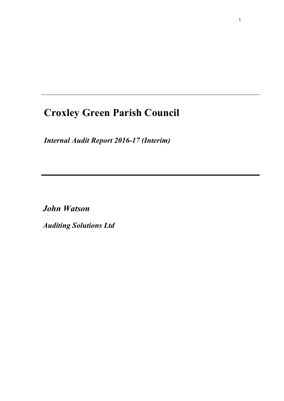# **Croxley Green Parish Council**

*Internal Audit Report 2016-17 (Interim)*

*John Watson* 

*Auditing Solutions Ltd*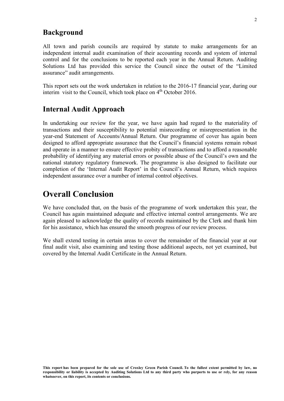#### **Background**

All town and parish councils are required by statute to make arrangements for an independent internal audit examination of their accounting records and system of internal control and for the conclusions to be reported each year in the Annual Return. Auditing Solutions Ltd has provided this service the Council since the outset of the "Limited assurance" audit arrangements.

This report sets out the work undertaken in relation to the 2016-17 financial year, during our interim visit to the Council, which took place on  $4<sup>th</sup>$  October 2016.

#### **Internal Audit Approach**

In undertaking our review for the year, we have again had regard to the materiality of transactions and their susceptibility to potential misrecording or misrepresentation in the year-end Statement of Accounts/Annual Return. Our programme of cover has again been designed to afford appropriate assurance that the Council's financial systems remain robust and operate in a manner to ensure effective probity of transactions and to afford a reasonable probability of identifying any material errors or possible abuse of the Council's own and the national statutory regulatory framework. The programme is also designed to facilitate our completion of the 'Internal Audit Report' in the Council's Annual Return, which requires independent assurance over a number of internal control objectives.

## **Overall Conclusion**

We have concluded that, on the basis of the programme of work undertaken this year, the Council has again maintained adequate and effective internal control arrangements. We are again pleased to acknowledge the quality of records maintained by the Clerk and thank him for his assistance, which has ensured the smooth progress of our review process.

We shall extend testing in certain areas to cover the remainder of the financial year at our final audit visit, also examining and testing those additional aspects, not yet examined, but covered by the Internal Audit Certificate in the Annual Return.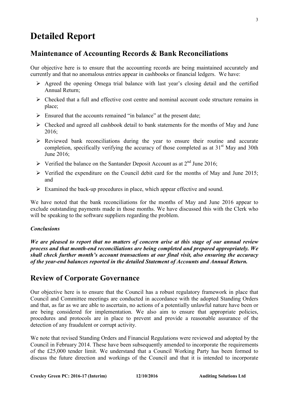## **Detailed Report**

## **Maintenance of Accounting Records & Bank Reconciliations**

Our objective here is to ensure that the accounting records are being maintained accurately and currently and that no anomalous entries appear in cashbooks or financial ledgers. We have:

- $\triangleright$  Agreed the opening Omega trial balance with last year's closing detail and the certified Annual Return;
- $\triangleright$  Checked that a full and effective cost centre and nominal account code structure remains in place;
- $\triangleright$  Ensured that the accounts remained "in balance" at the present date;
- $\triangleright$  Checked and agreed all cashbook detail to bank statements for the months of May and June 2016;
- $\triangleright$  Reviewed bank reconciliations during the year to ensure their routine and accurate completion, specifically verifying the accuracy of those completed as at  $31<sup>st</sup>$  May and 30th June 2016;
- $\triangleright$  Verified the balance on the Santander Deposit Account as at 2<sup>nd</sup> June 2016;
- $\triangleright$  Verified the expenditure on the Council debit card for the months of May and June 2015; and
- $\triangleright$  Examined the back-up procedures in place, which appear effective and sound.

We have noted that the bank reconciliations for the months of May and June 2016 appear to exclude outstanding payments made in those months. We have discussed this with the Clerk who will be speaking to the software suppliers regarding the problem.

#### *Conclusions*

*We are pleased to report that no matters of concern arise at this stage of our annual review process and that month-end reconciliations are being completed and prepared appropriately. We shall check further month's account transactions at our final visit, also ensuring the accuracy of the year-end balances reported in the detailed Statement of Accounts and Annual Return.* 

#### **Review of Corporate Governance**

Our objective here is to ensure that the Council has a robust regulatory framework in place that Council and Committee meetings are conducted in accordance with the adopted Standing Orders and that, as far as we are able to ascertain, no actions of a potentially unlawful nature have been or are being considered for implementation. We also aim to ensure that appropriate policies, procedures and protocols are in place to prevent and provide a reasonable assurance of the detection of any fraudulent or corrupt activity.

We note that revised Standing Orders and Financial Regulations were reviewed and adopted by the Council in February 2014. These have been subsequently amended to incorporate the requirements of the £25,000 tender limit. We understand that a Council Working Party has been formed to discuss the future direction and workings of the Council and that it is intended to incorporate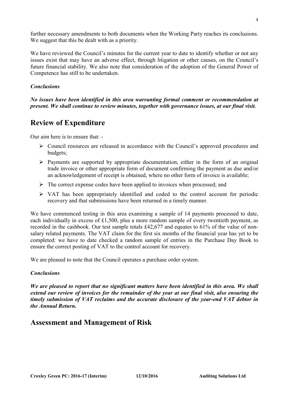further necessary amendments to both documents when the Working Party reaches its conclusions. We suggest that this be dealt with as a priority.

We have reviewed the Council's minutes for the current year to date to identify whether or not any issues exist that may have an adverse effect, through litigation or other causes, on the Council's future financial stability. We also note that consideration of the adoption of the General Power of Competence has still to be undertaken.

#### *Conclusions*

*No issues have been identified in this area warranting formal comment or recommendation at present. We shall continue to review minutes, together with governance issues, at our final visit.* 

## **Review of Expenditure**

Our aim here is to ensure that: -

- Council resources are released in accordance with the Council's approved procedures and budgets;
- $\triangleright$  Payments are supported by appropriate documentation, either in the form of an original trade invoice or other appropriate form of document confirming the payment as due and/or an acknowledgement of receipt is obtained, where no other form of invoice is available;
- $\triangleright$  The correct expense codes have been applied to invoices when processed; and
- $\triangleright$  VAT has been appropriately identified and coded to the control account for periodic recovery and that submissions have been returned in a timely manner.

We have commenced testing in this area examining a sample of 14 payments processed to date, each individually in excess of £1,500, plus a more random sample of every twentieth payment, as recorded in the cashbook. Our test sample totals £42,677 and equates to 61% of the value of nonsalary related payments. The VAT claim for the first six months of the financial year has yet to be completed: we have to date checked a random sample of entries in the Purchase Day Book to ensure the correct posting of VAT to the control account for recovery.

We are pleased to note that the Council operates a purchase order system.

#### *Conclusions*

*We are pleased to report that no significant matters have been identified in this area. We shall extend our review of invoices for the remainder of the year at our final visit, also ensuring the timely submission of VAT reclaims and the accurate disclosure of the year-end VAT debtor in the Annual Return.* 

## **Assessment and Management of Risk**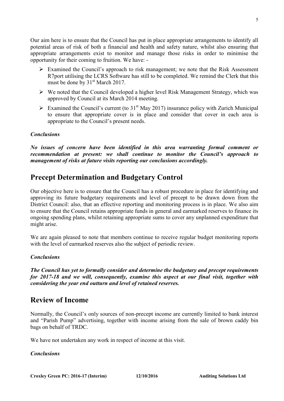Our aim here is to ensure that the Council has put in place appropriate arrangements to identify all potential areas of risk of both a financial and health and safety nature, whilst also ensuring that appropriate arrangements exist to monitor and manage those risks in order to minimise the opportunity for their coming to fruition. We have: -

- Examined the Council's approach to risk management; we note that the Risk Assessment R7port utilising the LCRS Software has still to be completed. We remind the Clerk that this must be done by  $31<sup>st</sup>$  March 2017.
- $\triangleright$  We noted that the Council developed a higher level Risk Management Strategy, which was approved by Council at its March 2014 meeting.
- Examined the Council's current (to  $31<sup>st</sup>$  May 2017) insurance policy with Zurich Municipal to ensure that appropriate cover is in place and consider that cover in each area is appropriate to the Council's present needs.

#### *Conclusions*

*No issues of concern have been identified in this area warranting formal comment or recommendation at present: we shall continue to monitor the Council's approach to management of risks at future visits reporting our conclusions accordingly.*

## **Precept Determination and Budgetary Control**

Our objective here is to ensure that the Council has a robust procedure in place for identifying and approving its future budgetary requirements and level of precept to be drawn down from the District Council: also, that an effective reporting and monitoring process is in place. We also aim to ensure that the Council retains appropriate funds in general and earmarked reserves to finance its ongoing spending plans, whilst retaining appropriate sums to cover any unplanned expenditure that might arise.

We are again pleased to note that members continue to receive regular budget monitoring reports with the level of earmarked reserves also the subject of periodic review.

#### *Conclusions*

*The Council has yet to formally consider and determine the budgetary and precept requirements for 2017-18 and we will, consequently, examine this aspect at our final visit, together with considering the year end outturn and level of retained reserves.* 

#### **Review of Income**

Normally, the Council's only sources of non-precept income are currently limited to bank interest and "Parish Pump" advertising, together with income arising from the sale of brown caddy bin bags on behalf of TRDC.

We have not undertaken any work in respect of income at this visit.

#### *Conclusions*